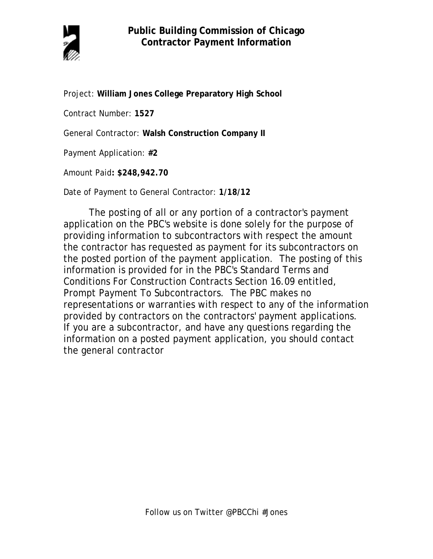

Project: **William Jones College Preparatory High School** 

Contract Number: **1527**

General Contractor: **Walsh Construction Company II**

Payment Application: **#2**

Amount Paid**: \$248,942.70**

Date of Payment to General Contractor: **1/18/12** 

The posting of all or any portion of a contractor's payment application on the PBC's website is done solely for the purpose of providing information to subcontractors with respect the amount the contractor has requested as payment for its subcontractors on the posted portion of the payment application. The posting of this information is provided for in the PBC's Standard Terms and Conditions For Construction Contracts Section 16.09 entitled, Prompt Payment To Subcontractors. The PBC makes no representations or warranties with respect to any of the information provided by contractors on the contractors' payment applications. If you are a subcontractor, and have any questions regarding the information on a posted payment application, you should contact the general contractor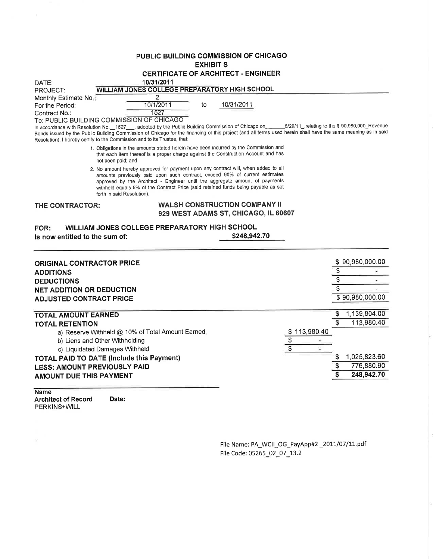# PUBLIC BUILDING COMMISSION OF CHICAGO

**EXHIBIT S** 

| <b>CERTIFICATE OF ARCHITECT - ENGINEER</b> |  |
|--------------------------------------------|--|
|                                            |  |

| DATE:                                  | 10/31/2011                                              |    |            |                                              |
|----------------------------------------|---------------------------------------------------------|----|------------|----------------------------------------------|
| PROJECT:                               | WILLIAM JONES COLLEGE PREPARATORY HIGH SCHOOL           |    |            |                                              |
| Monthly Estimate No.:                  |                                                         |    |            |                                              |
| For the Period:                        | 10/1/2011                                               | to | 10/31/2011 |                                              |
| Contract No.:                          | 1527                                                    |    |            |                                              |
|                                        | To: PUBLIC BUILDING COMMISSION OF CHICAGO               |    |            |                                              |
| In accordance with Resolution No. 1527 | adopted by the Public Building Commission of Chicago on |    |            | 6/29/11 relating to the \$90,980,000_Revenue |

Bonds issued by the Public Building Commission of Chicago for the financing of this project (and all terms used herein shall have the same meaning as in said Resolution), I hereby certify to the Commission and to its Trustee, that:

- 1. Obligations in the amounts stated herein have been incurred by the Commission and that each item thereof is a proper charge against the Construction Account and has not been paid; and
- 2. No amount hereby approved for payment upon any contract will, when added to all amounts previously paid upon such contract, exceed 90% of current estimates approved by the Architect - Engineer until the aggregate amount of payments withheld equals 5% of the Contract Price (said retained funds being payable as set forth in said Resolution).

THE CONTRACTOR:

# **WALSH CONSTRUCTION COMPANY II** 929 WEST ADAMS ST, CHICAGO, IL 60607

#### WILLIAM JONES COLLEGE PREPARATORY HIGH SCHOOL FOR: \$248,942.70 Is now entitled to the sum of:

| <b>ORIGINAL CONTRACTOR PRICE</b><br><b>ADDITIONS</b><br><b>DEDUCTIONS</b><br><b>NET ADDITION OR DEDUCTION</b>                                                   | \$90,980,000.00 |
|-----------------------------------------------------------------------------------------------------------------------------------------------------------------|-----------------|
| <b>ADJUSTED CONTRACT PRICE</b>                                                                                                                                  | \$90,980,000.00 |
| <b>TOTAL AMOUNT EARNED</b>                                                                                                                                      | 1,139,804.00    |
| <b>TOTAL RETENTION</b><br>\$113,980.40<br>a) Reserve Withheld @ 10% of Total Amount Earned,<br>b) Liens and Other Withholding<br>c) Liquidated Damages Withheld | 113,980.40      |
| <b>TOTAL PAID TO DATE (Include this Payment)</b>                                                                                                                | 1,025,823.60    |
| <b>LESS: AMOUNT PREVIOUSLY PAID</b>                                                                                                                             | 776,880.90      |
| AMOUNT DUE THIS PAYMENT                                                                                                                                         | 248,942.70      |

**Name** 

**Architect of Record** Date: PERKINS+WILL

> File Name: PA\_WCII\_OG\_PayApp#2 \_2011/07/11.pdf File Code: 05265\_02\_07\_13.2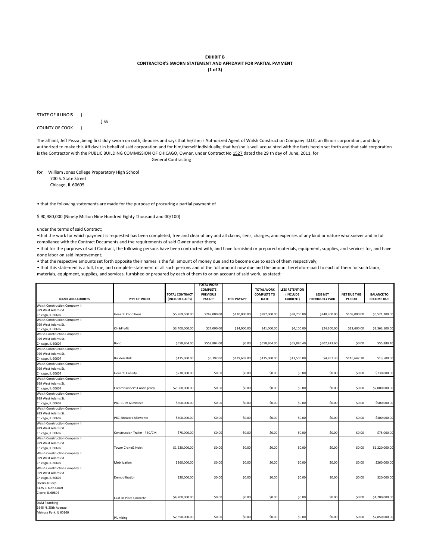#### **EXHIBIT B CONTRACTOR'S SWORN STATEMENT AND AFFIDAVIT FOR PARTIAL PAYMENT (1 of 3)**

STATE OF ILLINOIS }

COUNTY OF COOK }

The affiant, Jeff Pezza ,being first duly sworn on oath, deposes and says that he/she is Authorized Agent of Walsh Construction Company II, LLC, an Illinois corporation, and duly authorized to make this Affidavit in behalf of said corporation and for him/herself individually; that he/she is well acquainted with the facts herein set forth and that said corporation is the Contractor with the PUBLIC BUILDING COMMISSION OF CHICAGO, Owner, under Contract No 1527 dated the 29 th day of June, 2011, for General Contracting

for William Jones College Preparatory High School 700 S. State Street

Chicago, IL 60605

• that the following statements are made for the purpose of procuring a partial payment of

\$ 90,980,000 (Ninety Million Nine Hundred Eighty Thousand and 00/100)

} SS

under the terms of said Contract;

•that the work for which payment is requested has been completed, free and clear of any and all claims, liens, charges, and expenses of any kind or nature whatsoever and in full compliance with the Contract Documents and the requirements of said Owner under them;

• that for the purposes of said Contract, the following persons have been contracted with, and have furnished or prepared materials, equipment, supplies, and services for, and have done labor on said improvement;

• that the respective amounts set forth opposite their names is the full amount of money due and to become due to each of them respectively;

• that this statement is a full, true, and complete statement of all such persons and of the full amount now due and the amount heretofore paid to each of them for such labor, materials, equipment, supplies, and services, furnished or prepared by each of them to or on account of said work, as stated:

|                                      |                               |                                    | <b>TOTAL WORK</b>                  |                    |                                   |                             |                                           |                                      |                   |
|--------------------------------------|-------------------------------|------------------------------------|------------------------------------|--------------------|-----------------------------------|-----------------------------|-------------------------------------------|--------------------------------------|-------------------|
|                                      |                               |                                    | <b>COMPLETE</b><br><b>PREVIOUS</b> |                    | <b>TOTAL WORK</b>                 | <b>LESS RETENTION</b>       |                                           |                                      | <b>BALANCE TO</b> |
| <b>NAME AND ADDRESS</b>              | <b>TYPE OF WORK</b>           | TOTAL CONTRACT<br>(INCLUDE C.O.'s) | <b>PAYAPP</b>                      | <b>THIS PAYAPP</b> | <b>COMPLETE TO</b><br><b>DATE</b> | (INCLUDE<br><b>CURRENT)</b> | <b>LESS NET</b><br><b>PREVIOUSLY PAID</b> | <b>NET DUE THIS</b><br><b>PERIOD</b> | <b>BECOME DUE</b> |
| Walsh Construction Company II        |                               |                                    |                                    |                    |                                   |                             |                                           |                                      |                   |
| 929 West Adams St.                   |                               |                                    |                                    |                    |                                   |                             |                                           |                                      |                   |
| Chicago, IL 60607                    | <b>General Conditions</b>     | \$5,869,500.00                     | \$267,000.00                       | \$120,000.00       | \$387,000.00                      | \$38,700.00                 | \$240,300.00                              | \$108,000.00                         | \$5,521,200.00    |
| Walsh Construction Company II        |                               |                                    |                                    |                    |                                   |                             |                                           |                                      |                   |
| 929 West Adams St.                   |                               |                                    |                                    |                    |                                   |                             |                                           |                                      |                   |
| Chicago, IL 60607                    | OH&Profit                     | \$3,400,000.00                     | \$27,000.00                        | \$14,000.00        | \$41,000.00                       | \$4,100.00                  | \$24,300.00                               | \$12,600.00                          | \$3,363,100.00    |
| Walsh Construction Company II        |                               |                                    |                                    |                    |                                   |                             |                                           |                                      |                   |
| 929 West Adams St.                   |                               |                                    |                                    |                    |                                   |                             |                                           |                                      |                   |
| Chicago, IL 60607                    | Bond                          | \$558,804.00                       | \$558,804.00                       | \$0.00             | \$558,804.00                      | \$55,880.40                 | \$502,923.60                              | \$0.00                               | \$55,880.40       |
| Walsh Construction Company II        |                               |                                    |                                    |                    |                                   |                             |                                           |                                      |                   |
| 929 West Adams St.                   |                               |                                    |                                    |                    |                                   |                             |                                           |                                      |                   |
| Chicago, IL 60607                    | <b>Builders Risk</b>          | \$135,000.00                       | \$5,397.00                         | \$129,603.00       | \$135,000.00                      | \$13,500.00                 | \$4,857.30                                | \$116,642.70                         | \$13,500.00       |
| <b>Walsh Construction Company II</b> |                               |                                    |                                    |                    |                                   |                             |                                           |                                      |                   |
| 929 West Adams St.                   |                               |                                    |                                    |                    |                                   |                             |                                           |                                      |                   |
| Chicago, IL 60607                    | General Liability             | \$730,000.00                       | \$0.00                             | \$0.00             | \$0.00                            | \$0.00                      | \$0.00                                    | \$0.00                               | \$730,000.00      |
| Walsh Construction Company II        |                               |                                    |                                    |                    |                                   |                             |                                           |                                      |                   |
| 929 West Adams St.                   |                               |                                    |                                    |                    |                                   |                             |                                           |                                      |                   |
| Chicago, IL 60607                    | Commissioner's Contingency    | \$2,000,000.00                     | \$0.00                             | \$0.00             | \$0.00                            | \$0.00                      | \$0.00                                    | \$0.00                               | \$2,000,000.00    |
| <b>Walsh Construction Company II</b> |                               |                                    |                                    |                    |                                   |                             |                                           |                                      |                   |
| 929 West Adams St.                   |                               |                                    |                                    |                    |                                   |                             |                                           |                                      |                   |
| Chicago, IL 60607                    | PBC-CCTV Allowance            | \$500,000.00                       | \$0.00                             | \$0.00             | \$0.00                            | \$0.00                      | \$0.00                                    | \$0.00                               | \$500,000.00      |
| Walsh Construction Company II        |                               |                                    |                                    |                    |                                   |                             |                                           |                                      |                   |
| 929 West Adams St.                   |                               |                                    |                                    |                    |                                   |                             |                                           |                                      |                   |
| Chicago, IL 60607                    | PBC-Sitework Allowance        | \$300,000.00                       | \$0.00                             | \$0.00             | \$0.00                            | \$0.00                      | \$0.00                                    | \$0.00                               | \$300,000.00      |
| <b>Walsh Construction Company II</b> |                               |                                    |                                    |                    |                                   |                             |                                           |                                      |                   |
| 929 West Adams St.                   |                               |                                    |                                    |                    |                                   |                             |                                           |                                      |                   |
| Chicago, IL 60607                    | Construction Trailer - PBC/CM | \$75,000.00                        | \$0.00                             | \$0.00             | \$0.00                            | \$0.00                      | \$0.00                                    | \$0.00                               | \$75,000.00       |
| <b>Walsh Construction Company II</b> |                               |                                    |                                    |                    |                                   |                             |                                           |                                      |                   |
| 929 West Adams St.                   |                               |                                    |                                    |                    |                                   |                             |                                           |                                      |                   |
|                                      | <b>Tower Crane&amp; Hoist</b> | \$1,220,000.00                     | \$0.00                             | \$0.00             | \$0.00                            | \$0.00                      | \$0.00                                    | \$0.00                               | \$1,220,000.00    |
| Chicago, IL 60607                    |                               |                                    |                                    |                    |                                   |                             |                                           |                                      |                   |
| Walsh Construction Company II        |                               |                                    |                                    |                    |                                   |                             |                                           |                                      |                   |
| 929 West Adams St.                   |                               |                                    |                                    |                    |                                   |                             |                                           |                                      |                   |
| Chicago, IL 60607                    | Mobilization                  | \$260,000.00                       | \$0.00                             | \$0.00             | \$0.00                            | \$0.00                      | \$0.00                                    | \$0.00                               | \$260,000.00      |
| <b>Walsh Construction Company II</b> |                               |                                    |                                    |                    |                                   |                             |                                           |                                      |                   |
| 929 West Adams St.                   |                               |                                    |                                    |                    |                                   |                             |                                           |                                      |                   |
| Chicago, IL 60607                    | Demobilization                | \$20,000.00                        | \$0.00                             | \$0.00             | \$0.00                            | \$0.00                      | \$0.00                                    | \$0.00                               | \$20,000.00       |
| Sherry-K Corp                        |                               |                                    |                                    |                    |                                   |                             |                                           |                                      |                   |
| 3125 S. 60th Court                   |                               |                                    |                                    |                    |                                   |                             |                                           |                                      |                   |
| Cicero, IL 60804                     |                               |                                    |                                    |                    |                                   |                             |                                           |                                      |                   |
|                                      | Cast-In-Place Concrete        | \$4,200,000.00                     | \$0.00                             | \$0.00             | \$0.00                            | \$0.00                      | \$0.00                                    | \$0.00                               | \$4,200,000.00    |
| <b>DAM Plumbing</b>                  |                               |                                    |                                    |                    |                                   |                             |                                           |                                      |                   |
| 1645 N. 25th Avenue                  |                               |                                    |                                    |                    |                                   |                             |                                           |                                      |                   |
| Melrose Park, IL 60160               |                               |                                    |                                    |                    |                                   |                             |                                           |                                      |                   |
|                                      | Plumbing                      | \$2,850,000.00                     | \$0.00                             | \$0.00             | \$0.00                            | \$0.00                      | \$0.00                                    | \$0.00                               | \$2,850,000.00    |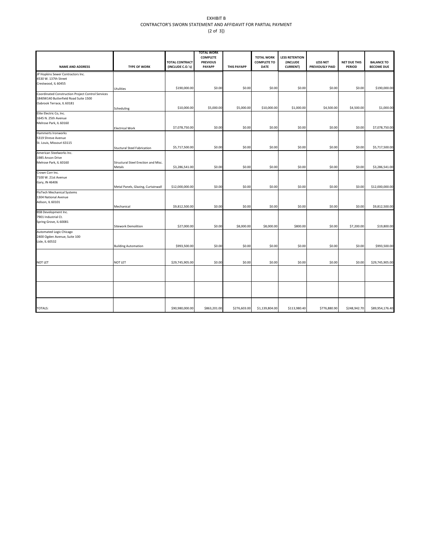### EXHIBIT B CONTRACTOR'S SWORN STATEMENT AND AFFIDAVIT FOR PARTIAL PAYMENT (2 of 3])

| <b>NAME AND ADDRESS</b>                                 | <b>TYPE OF WORK</b>                 | <b>TOTAL CONTRACT</b><br>(INCLUDE C.O.'s) | TOTAL WORK<br><b>COMPLETE</b><br><b>PREVIOUS</b><br><b>PAYAPP</b> | <b>THIS PAYAPP</b> | <b>TOTAL WORK</b><br><b>COMPLETE TO</b><br><b>DATE</b> | <b>LESS RETENTION</b><br>(INCLUDE<br><b>CURRENT)</b> | <b>LESS NET</b><br>PREVIOUSLY PAID | <b>NET DUE THIS</b><br><b>PERIOD</b> | <b>BALANCE TO</b><br><b>BECOME DUE</b> |
|---------------------------------------------------------|-------------------------------------|-------------------------------------------|-------------------------------------------------------------------|--------------------|--------------------------------------------------------|------------------------------------------------------|------------------------------------|--------------------------------------|----------------------------------------|
| JP Hopkins Sewer Contractors Inc.                       |                                     |                                           |                                                                   |                    |                                                        |                                                      |                                    |                                      |                                        |
| 4530 W. 137th Street                                    |                                     |                                           |                                                                   |                    |                                                        |                                                      |                                    |                                      |                                        |
| Crestwood, IL 60455                                     |                                     |                                           |                                                                   |                    |                                                        |                                                      |                                    |                                      |                                        |
|                                                         | Utulities                           | \$190,000.00                              | \$0.00                                                            | \$0.00             | \$0.00                                                 | \$0.00                                               | \$0.00                             | \$0.00                               | \$190,000.00                           |
| Coordinated Construction Project Control Services       |                                     |                                           |                                                                   |                    |                                                        |                                                      |                                    |                                      |                                        |
| 1840W140 Butterfield Road Suite 1500                    |                                     |                                           |                                                                   |                    |                                                        |                                                      |                                    |                                      |                                        |
| Oabrook Terrace, IL 60181                               |                                     |                                           |                                                                   |                    |                                                        |                                                      |                                    |                                      |                                        |
|                                                         | Scheduling                          | \$10,000.00                               | \$5,000.00                                                        | \$5,000.00         | \$10,000.00                                            | \$1,000.00                                           | \$4,500.00                         | \$4,500.00                           | \$1,000.00                             |
| Elite Electric Co, Inc.                                 |                                     |                                           |                                                                   |                    |                                                        |                                                      |                                    |                                      |                                        |
| 1645 N. 25th Avenue                                     |                                     |                                           |                                                                   |                    |                                                        |                                                      |                                    |                                      |                                        |
| Melrose Park, IL 60160                                  |                                     |                                           |                                                                   |                    |                                                        |                                                      |                                    |                                      |                                        |
|                                                         | <b>Electrical Work</b>              | \$7,078,750.00                            | \$0.00                                                            | \$0.00             | \$0.00                                                 | \$0.00                                               | \$0.00                             | \$0.00                               | \$7,078,750.00                         |
| Hammerts Ironworks                                      |                                     |                                           |                                                                   |                    |                                                        |                                                      |                                    |                                      |                                        |
| 5319 Shreve Avenue                                      |                                     |                                           |                                                                   |                    |                                                        |                                                      |                                    |                                      |                                        |
| St. Louis, Missouri 63115                               |                                     |                                           |                                                                   |                    |                                                        |                                                      |                                    |                                      |                                        |
|                                                         | <b>Stuctural Steel Fabrication</b>  | \$5,717,500.00                            | \$0.00                                                            | \$0.00             | \$0.00                                                 | \$0.00                                               | \$0.00                             | \$0.00                               | \$5,717,500.00                         |
| American Steelworks Inc.                                |                                     |                                           |                                                                   |                    |                                                        |                                                      |                                    |                                      |                                        |
| 1985 Anson Drive                                        |                                     |                                           |                                                                   |                    |                                                        |                                                      |                                    |                                      |                                        |
| Melrose Park, IL 60160                                  | Structural Steel Erection and Misc. |                                           |                                                                   |                    |                                                        |                                                      |                                    |                                      |                                        |
|                                                         | Metals                              | \$3,286,541.00                            | \$0.00                                                            | \$0.00             | \$0.00                                                 | \$0.00                                               | \$0.00                             | \$0.00                               | \$3,286,541.00                         |
| Crown Corr Inc.                                         |                                     |                                           |                                                                   |                    |                                                        |                                                      |                                    |                                      |                                        |
| 7100 W. 21st Avenue                                     |                                     |                                           |                                                                   |                    |                                                        |                                                      |                                    |                                      |                                        |
| Gary, IN 46406                                          |                                     |                                           |                                                                   |                    |                                                        |                                                      |                                    |                                      |                                        |
|                                                         | Metal Panels, Glazing, Curtainwall  | \$12,000,000.00                           | \$0.00                                                            | \$0.00             | \$0.00                                                 | \$0.00                                               | \$0.00                             | \$0.00                               | \$12,000,000.00                        |
| FloTech Mechanical Systems                              |                                     |                                           |                                                                   |                    |                                                        |                                                      |                                    |                                      |                                        |
| 1304 National Avenue                                    |                                     |                                           |                                                                   |                    |                                                        |                                                      |                                    |                                      |                                        |
| Adison, IL 60101                                        | Mechanical                          | \$9,812,500.00                            | \$0.00                                                            | \$0.00             | \$0.00                                                 | \$0.00                                               | \$0.00                             | \$0.00                               | \$9,812,500.00                         |
|                                                         |                                     |                                           |                                                                   |                    |                                                        |                                                      |                                    |                                      |                                        |
| <b>BSB Development Inc.</b>                             |                                     |                                           |                                                                   |                    |                                                        |                                                      |                                    |                                      |                                        |
| 7901 Industrial Ct.                                     |                                     |                                           |                                                                   |                    |                                                        |                                                      |                                    |                                      |                                        |
| Spring Grove, IL 60081                                  | <b>Sitework Demolition</b>          | \$27,000.00                               | \$0.00                                                            | \$8,000.00         | \$8,000.00                                             | \$800.00                                             | \$0.00                             | \$7,200.00                           | \$19,800.00                            |
|                                                         |                                     |                                           |                                                                   |                    |                                                        |                                                      |                                    |                                      |                                        |
| Automated Logic Chicago<br>2400 Ogden Avenue, Suite 100 |                                     |                                           |                                                                   |                    |                                                        |                                                      |                                    |                                      |                                        |
| Lisle, IL 60532                                         |                                     |                                           |                                                                   |                    |                                                        |                                                      |                                    |                                      |                                        |
|                                                         | <b>Building Automation</b>          | \$993,500.00                              | \$0.00                                                            | \$0.00             | \$0.00                                                 | \$0.00                                               | \$0.00                             | \$0.00                               | \$993,500.00                           |
|                                                         |                                     |                                           |                                                                   |                    |                                                        |                                                      |                                    |                                      |                                        |
|                                                         |                                     |                                           |                                                                   |                    |                                                        |                                                      |                                    |                                      |                                        |
|                                                         |                                     |                                           |                                                                   |                    |                                                        |                                                      |                                    |                                      |                                        |
| NOT LET                                                 | NOT LET                             | \$29,745,905.00                           | \$0.00                                                            | \$0.00             | \$0.00                                                 | \$0.00                                               | \$0.00                             | \$0.00                               | \$29,745,905.00                        |
|                                                         |                                     |                                           |                                                                   |                    |                                                        |                                                      |                                    |                                      |                                        |
|                                                         |                                     |                                           |                                                                   |                    |                                                        |                                                      |                                    |                                      |                                        |
|                                                         |                                     |                                           |                                                                   |                    |                                                        |                                                      |                                    |                                      |                                        |
|                                                         |                                     |                                           |                                                                   |                    |                                                        |                                                      |                                    |                                      |                                        |
|                                                         |                                     |                                           |                                                                   |                    |                                                        |                                                      |                                    |                                      |                                        |
|                                                         |                                     |                                           |                                                                   |                    |                                                        |                                                      |                                    |                                      |                                        |
|                                                         |                                     |                                           |                                                                   |                    |                                                        |                                                      |                                    |                                      |                                        |
|                                                         |                                     |                                           |                                                                   |                    |                                                        |                                                      |                                    |                                      |                                        |
| <b>TOTALS:</b>                                          |                                     | \$90,980,000.00                           | \$863,201.00                                                      | \$276,603.00       | \$1,139,804.00                                         | \$113,980.40                                         | \$776,880.90                       | \$248,942.70                         | \$89,954,176.40                        |